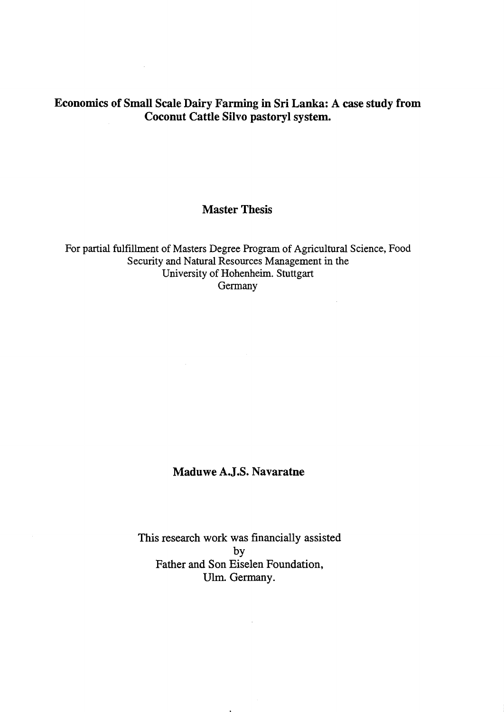## Economics of Small Scale Dairy Farming in Sri Lanka: A case study from Coconut Cattle Silvo pastoryl system.

 $\sim 10^{-1}$ 

## Master Thesis

For partial fulfillment of Masters Degree Program of Agrieultural Seienee, Food Security and Natural Resources Management in the University of Hohenheim. Stuttgart Germany

 $\mathcal{L}^{\mathcal{A}}$ 

## Maduwe A.J.S. Navaratne

This research work was financially assisted by Father and Son Eiselen Foundation, Ulm. Germany.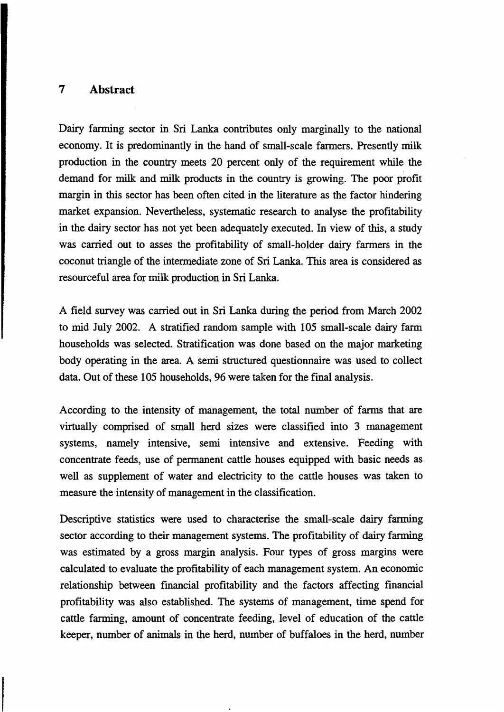## **7 Abstract**

Dairy farming sector in Sri Lanka contributes only marginally to the national economy. It is predominantly in the hand of small-scale farmers. Presently milk production in the country meets 20 percent only of the requirement while the demand for milk and milk products in the country is growing. The poor profit margin in this sector has been often cited in the literature as the factor hindering market expansion. Nevertheless, systematic research to analyse the profitability in the dairy sector has not yet been adequately executed. In view of this, a study was carried out to asses the profitability of small-holder dairy farmers in the coconut triangle of the intermediate zone of Sri Lanka. This area is considered as resourceful area for milk production in Sri Lanka.

A field survey was carried out in Sri Lanka during the period from March 2002 to mid July 2002. A stratified random sampie with 105 small-scale dairy farm households was selected. Stratification was done based on the major marketing body operating in the area. A semi structured questionnaire was used to collect data. Out of these 105 households, 96 were taken for the final analysis.

According to the intensity of management, the total number of farms that are virtually comprised of small herd sizes were classified into 3 management systems, namely intensive, semi intensive and extensive. Feeding with concentrate feeds, use of permanent cattle houses equipped with basic needs as well as supplement of water and electricity to the cattle houses was taken to measure the intensity of management in the classification.

Descriptive statistics were used to characterise the small-scale dairy farming sector according to their management systems. The profitability of dairy farming was estimated by a gross margin analysis. Four types of gross margins were calculated to evaluate the profitability of each management system. An economic relationship between fmancial profitability and the factors affecting financial profitability was also established. The systems of management, time spend for cattle farming, amount of concentrate feeding, level of education of the cattle keeper, number of animals in the herd, number of buffaloes in the herd, number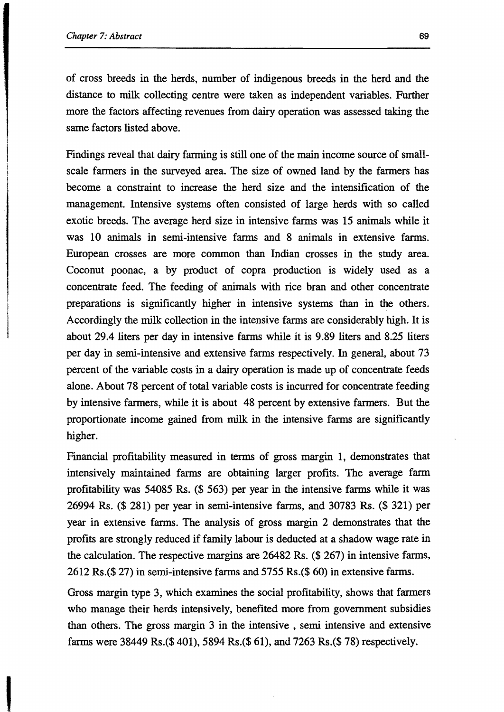of cross breeds in the herds, number of indigenous breeds in the herd and the distance to milk collecting centre were taken as independent variables. Further more the factors affecting revenues from dairy operation was assessed taking the same factors listed above.

Findings reveal that dairy farming is still one of the main income source of smallscale farmers in the surveyed area. The size of owned land by the farmers has become a constraint to increase the herd size and the intensification of the management. Intensive systems often consisted of large herds with so called exotic breeds. The average herd size in intensive farms was 15 animals while it was 10 animals in semi-intensive farms and 8 animals in extensive farms. European crosses are more common than Indian crosses in the study area. Coconut poonac, a by product of copra production is widely used as a concentrate feed. The feeding of animals with rice bran and other concentrate preparations is significantly higher in intensive systems than in the others. Accordingly the milk collection in the intensive farms are considerably high. It is about 29.4 liters per day in intensive farms while it is 9.89 liters and 8.25 liters per day in semi-intensive and extensive farms respectively. In general, about 73 percent of the variable costs in a dairy operation is made up of concentrate feeds alone. About 78 percent of total variable costs is incurred for concentrate feeding by intensive farmers, while it is about 48 percent by extensive farmers. But the proportionate income gained from milk in the intensive farms are significantly higher.

Financial profitability measured in terms of gross margin 1, demonstrates that intensively maintained farms are obtaining larger profits. The average farm profitability was 54085 Rs. (\$ 563) per year in the intensive farms while it was 26994 Rs. (\$ 281) per year in semi-intensive farms, and 30783 Rs. (\$ 321) per year in extensive farms. The analysis of gross margin 2 demonstrates that the profits are strongly reduced if family labour is deducted at a shadow wage rate in the calculation. The respective margins are 26482 Rs. (\$ 267) in intensive farms, 2612 Rs.(\$ 27) in semi-intensive farms and 5755 Rs.(\$ 60) in extensive farms.

Gross margin type 3, which examines the social profitability, shows that farmers who manage their herds intensively, benefited more from government subsidies than others. The gross margin 3 in the intensive , semi intensive and extensive farms were 38449 Rs.(\$401), 5894 Rs.(\$61), and 7263 Rs.(\$78) respectively.